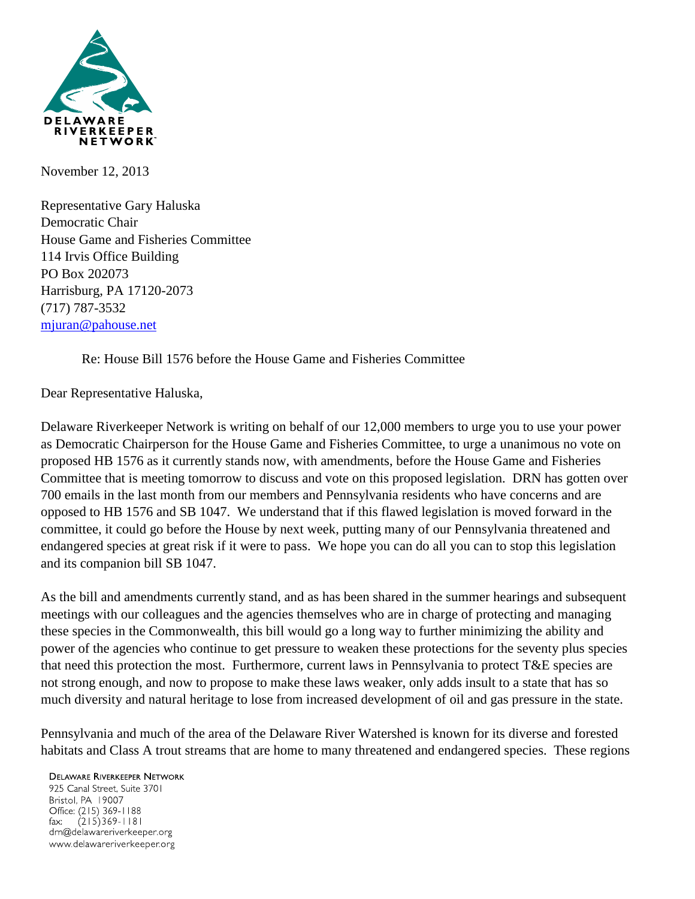

November 12, 2013

Representative Gary Haluska Democratic Chair House Game and Fisheries Committee 114 Irvis Office Building PO Box 202073 Harrisburg, PA 17120-2073 (717) 787-3532 [mjuran@pahouse.net](mailto:mjuran@pahouse.net)

Re: House Bill 1576 before the House Game and Fisheries Committee

Dear Representative Haluska,

Delaware Riverkeeper Network is writing on behalf of our 12,000 members to urge you to use your power as Democratic Chairperson for the House Game and Fisheries Committee, to urge a unanimous no vote on proposed HB 1576 as it currently stands now, with amendments, before the House Game and Fisheries Committee that is meeting tomorrow to discuss and vote on this proposed legislation. DRN has gotten over 700 emails in the last month from our members and Pennsylvania residents who have concerns and are opposed to HB 1576 and SB 1047. We understand that if this flawed legislation is moved forward in the committee, it could go before the House by next week, putting many of our Pennsylvania threatened and endangered species at great risk if it were to pass. We hope you can do all you can to stop this legislation and its companion bill SB 1047.

As the bill and amendments currently stand, and as has been shared in the summer hearings and subsequent meetings with our colleagues and the agencies themselves who are in charge of protecting and managing these species in the Commonwealth, this bill would go a long way to further minimizing the ability and power of the agencies who continue to get pressure to weaken these protections for the seventy plus species that need this protection the most. Furthermore, current laws in Pennsylvania to protect T&E species are not strong enough, and now to propose to make these laws weaker, only adds insult to a state that has so much diversity and natural heritage to lose from increased development of oil and gas pressure in the state.

Pennsylvania and much of the area of the Delaware River Watershed is known for its diverse and forested habitats and Class A trout streams that are home to many threatened and endangered species. These regions

**DELAWARE RIVERKEEPER NETWORK** 

925 Canal Street, Suite 3701 Bristol, PA 19007 Office: (215) 369-1188  $(215)369 - 1181$ fax: drn@delawareriverkeeper.org www.delawareriverkeeper.org